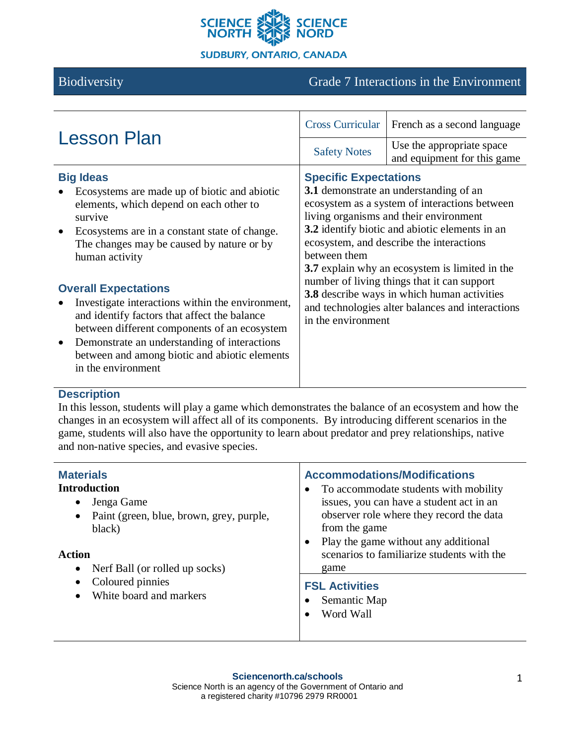

# Biodiversity Grade 7 Interactions in the Environment

| <b>Lesson Plan</b>                                                                                                                                                                                                                                                                                                                                                                                                                                                                                                                               |                                                                    | Cross Curricular   French as a second language                                                                                                                                                                                                                                                                                                                                                                                             |
|--------------------------------------------------------------------------------------------------------------------------------------------------------------------------------------------------------------------------------------------------------------------------------------------------------------------------------------------------------------------------------------------------------------------------------------------------------------------------------------------------------------------------------------------------|--------------------------------------------------------------------|--------------------------------------------------------------------------------------------------------------------------------------------------------------------------------------------------------------------------------------------------------------------------------------------------------------------------------------------------------------------------------------------------------------------------------------------|
|                                                                                                                                                                                                                                                                                                                                                                                                                                                                                                                                                  | <b>Safety Notes</b>                                                | Use the appropriate space<br>and equipment for this game                                                                                                                                                                                                                                                                                                                                                                                   |
| <b>Big Ideas</b><br>Ecosystems are made up of biotic and abiotic<br>elements, which depend on each other to<br>survive<br>Ecosystems are in a constant state of change.<br>The changes may be caused by nature or by<br>human activity<br><b>Overall Expectations</b><br>Investigate interactions within the environment,<br>and identify factors that affect the balance<br>between different components of an ecosystem<br>Demonstrate an understanding of interactions<br>between and among biotic and abiotic elements<br>in the environment | <b>Specific Expectations</b><br>between them<br>in the environment | 3.1 demonstrate an understanding of an<br>ecosystem as a system of interactions between<br>living organisms and their environment<br><b>3.2</b> identify biotic and abiotic elements in an<br>ecosystem, and describe the interactions<br>3.7 explain why an ecosystem is limited in the<br>number of living things that it can support<br>3.8 describe ways in which human activities<br>and technologies alter balances and interactions |

# **Description**

In this lesson, students will play a game which demonstrates the balance of an ecosystem and how the changes in an ecosystem will affect all of its components. By introducing different scenarios in the game, students will also have the opportunity to learn about predator and prey relationships, native and non-native species, and evasive species.

| <b>Materials</b><br><b>Introduction</b><br>Jenga Game<br>$\bullet$<br>Paint (green, blue, brown, grey, purple,<br>$\bullet$<br>black)<br>Action<br>Nerf Ball (or rolled up socks)<br>$\bullet$<br>Coloured pinnies<br>$\bullet$<br>White board and markers | <b>Accommodations/Modifications</b><br>To accommodate students with mobility<br>issues, you can have a student act in an<br>observer role where they record the data<br>from the game<br>Play the game without any additional<br>scenarios to familiarize students with the<br>game |  |
|------------------------------------------------------------------------------------------------------------------------------------------------------------------------------------------------------------------------------------------------------------|-------------------------------------------------------------------------------------------------------------------------------------------------------------------------------------------------------------------------------------------------------------------------------------|--|
|                                                                                                                                                                                                                                                            | <b>FSL Activities</b><br>Semantic Map<br>Word Wall                                                                                                                                                                                                                                  |  |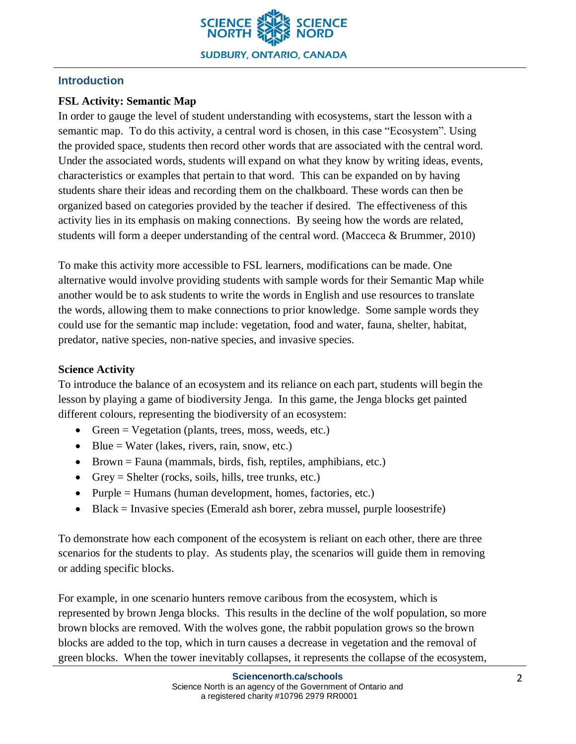

# **Introduction**

# **FSL Activity: Semantic Map**

In order to gauge the level of student understanding with ecosystems, start the lesson with a semantic map. To do this activity, a central word is chosen, in this case "Ecosystem". Using the provided space, students then record other words that are associated with the central word. Under the associated words, students will expand on what they know by writing ideas, events, characteristics or examples that pertain to that word. This can be expanded on by having students share their ideas and recording them on the chalkboard. These words can then be organized based on categories provided by the teacher if desired. The effectiveness of this activity lies in its emphasis on making connections. By seeing how the words are related, students will form a deeper understanding of the central word. (Macceca & Brummer, 2010)

To make this activity more accessible to FSL learners, modifications can be made. One alternative would involve providing students with sample words for their Semantic Map while another would be to ask students to write the words in English and use resources to translate the words, allowing them to make connections to prior knowledge. Some sample words they could use for the semantic map include: vegetation, food and water, fauna, shelter, habitat, predator, native species, non-native species, and invasive species.

# **Science Activity**

To introduce the balance of an ecosystem and its reliance on each part, students will begin the lesson by playing a game of biodiversity Jenga. In this game, the Jenga blocks get painted different colours, representing the biodiversity of an ecosystem:

- Green = Vegetation (plants, trees, moss, weeds, etc.)
- Blue = Water (lakes, rivers, rain, snow, etc.)
- Brown = Fauna (mammals, birds, fish, reptiles, amphibians, etc.)
- Grey = Shelter (rocks, soils, hills, tree trunks, etc.)
- Purple = Humans (human development, homes, factories, etc.)
- Black = Invasive species (Emerald ash borer, zebra mussel, purple loosestrife)

To demonstrate how each component of the ecosystem is reliant on each other, there are three scenarios for the students to play. As students play, the scenarios will guide them in removing or adding specific blocks.

For example, in one scenario hunters remove caribous from the ecosystem, which is represented by brown Jenga blocks. This results in the decline of the wolf population, so more brown blocks are removed. With the wolves gone, the rabbit population grows so the brown blocks are added to the top, which in turn causes a decrease in vegetation and the removal of green blocks. When the tower inevitably collapses, it represents the collapse of the ecosystem,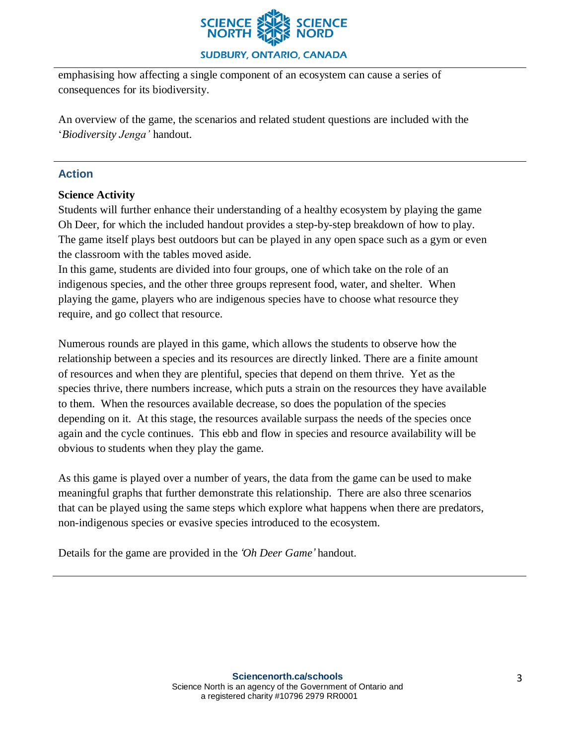

#### **SUDBURY, ONTARIO, CANADA**

emphasising how affecting a single component of an ecosystem can cause a series of consequences for its biodiversity.

An overview of the game, the scenarios and related student questions are included with the '*Biodiversity Jenga'* handout.

## **Action**

#### **Science Activity**

Students will further enhance their understanding of a healthy ecosystem by playing the game Oh Deer, for which the included handout provides a step-by-step breakdown of how to play. The game itself plays best outdoors but can be played in any open space such as a gym or even the classroom with the tables moved aside.

In this game, students are divided into four groups, one of which take on the role of an indigenous species, and the other three groups represent food, water, and shelter. When playing the game, players who are indigenous species have to choose what resource they require, and go collect that resource.

Numerous rounds are played in this game, which allows the students to observe how the relationship between a species and its resources are directly linked. There are a finite amount of resources and when they are plentiful, species that depend on them thrive. Yet as the species thrive, there numbers increase, which puts a strain on the resources they have available to them. When the resources available decrease, so does the population of the species depending on it. At this stage, the resources available surpass the needs of the species once again and the cycle continues. This ebb and flow in species and resource availability will be obvious to students when they play the game.

As this game is played over a number of years, the data from the game can be used to make meaningful graphs that further demonstrate this relationship. There are also three scenarios that can be played using the same steps which explore what happens when there are predators, non-indigenous species or evasive species introduced to the ecosystem.

Details for the game are provided in the *'Oh Deer Game'* handout.